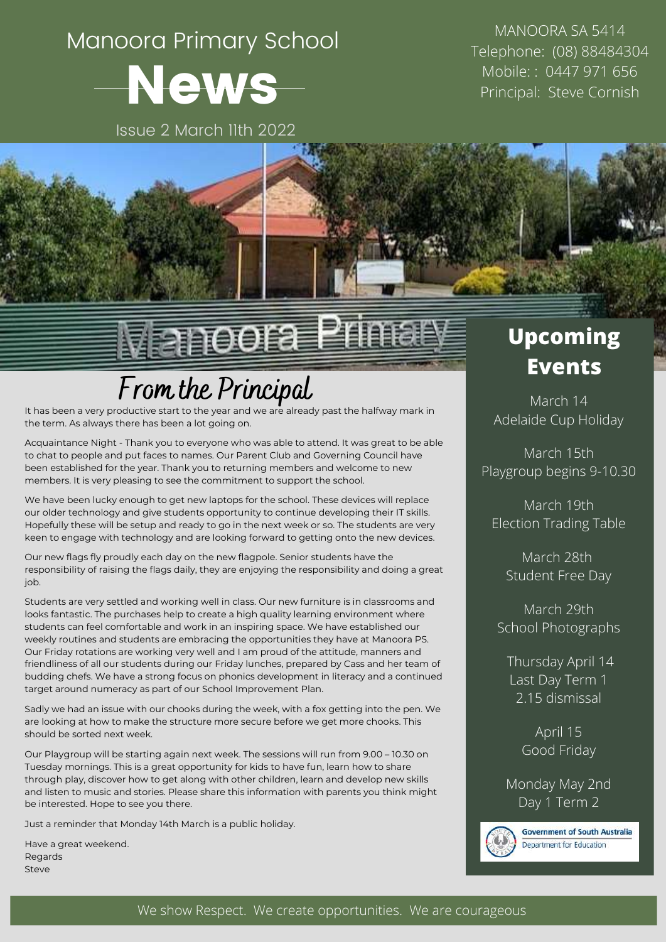# Manoora Primary School News

Issue 2 March 11th 2022

MANOORA SA 5414 Telephone: (08) 88484304 Mobile: : 0447 971 656 Principal: Steve Cornish



# √lanoora Primar

## **From the Principal** March 14

It has been a very productive start to the year and the term. As always there has been a lot going on.

Acquaintance Night - Thank you to everyone who was able to attend. It was great to be able to chat to people and put faces to names. Our Parent Club and Governing Council have been established for the year. Thank you to returning members and welcome to new members. It is very pleasing to see the commitment to support the school.

We have been lucky enough to get new laptops for the school. These devices will replace our older technology and give students opportunity to continue developing their IT skills. Hopefully these will be setup and ready to go in the next week or so. The students are very keen to engage with technology and are looking forward to getting onto the new devices.

Our new flags fly proudly each day on the new flagpole. Senior students have the responsibility of raising the flags daily, they are enjoying the responsibility and doing a great job.

Students are very settled and working well in class. Our new furniture is in classrooms and looks fantastic. The purchases help to create a high quality learning environment where students can feel comfortable and work in an inspiring space. We have established our weekly routines and students are embracing the opportunities they have at Manoora PS. Our Friday rotations are working very well and Iam proud of the attitude, manners and friendliness of all our students during our Friday lunches, prepared by Cass and her team of budding chefs. We have a strong focus on phonics development in literacy and a continued target around numeracy as part of our School Improvement Plan.

Sadly we had an issue with our chooks during the week, with a fox getting into the pen. We are looking at how to make the structure more secure before we get more chooks. This should be sorted next week.

Our Playgroup will be starting again next week. The sessions will run from 9.00 – 10.30 on Tuesday mornings. This is a great opportunity for kids to have fun, learn how to share through play, discover how to get along with other children, learn and develop new skills and listen to music and stories. Please share this information with parents you think might be interested. Hope to see you there.

Just a reminder that Monday 14th March is a public holiday.

Have a great weekend. Regards Steve

### **Upcoming Events**

Adelaide Cup Holiday

March 15th Playgroup begins 9-10.30

March 19th Election Trading Table

March 28th Student Free Day

March 29th School Photographs

Thursday April 14 Last Day Term 1 2.15 dismissal

> April 15 Good Friday

Monday May 2nd Day 1 Term 2



**Government of South Australia** Department for Education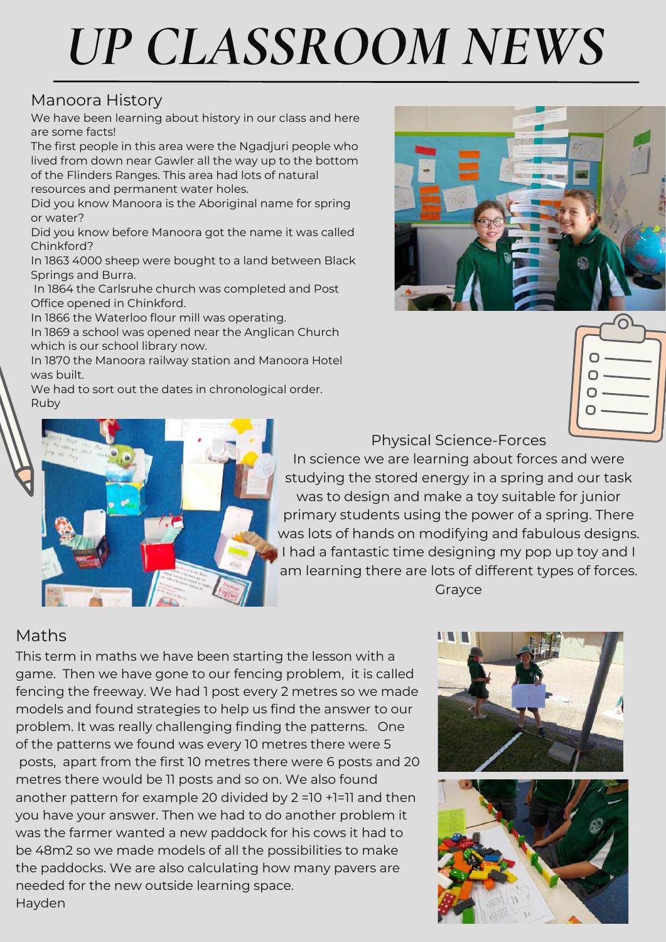# *UP CLASSROOM NEWS*

#### Manoora History

We have been learning about history in our class and here are some facts!

The first people in this area were the Ngadjuri people who lived from down near Gawler all the way up to the bottom of the Flinders Ranges. This area had lots of natural resources and permanent water holes.

Did you know Manoora is the Aboriginal name for spring or water?

Did you know before Manoora got the name it was called Chinkford?

In 1863 4000 sheep were bought to a land between Black Springs and Burra.

In 1864 the Carlsruhe church was completed and Post Office opened in Chinkford.

In 1866 the Waterloo flour mill was operating.

In 1869 a school was opened near the Anglican Church which is our school library now.

In 1870 the Manoora railway station and Manoora Hotel was built.

We had to sort out the dates in chronological order. Ruby





Physical Science-Forces

In science we are learning about forces and were studying the stored energy in a spring and our task was to design and make a toy suitable for junior primary students using the power of a spring. There was lots of hands on modifying and fabulous designs. I had a fantastic time designing my pop up toy and I am learning there are lots of different types of forces. Grayce

#### Maths

This term in maths we have been starting the lesson with a game. Then we have gone to our fencing problem, it is called fencing the freeway. We had 1 post every 2 metres so we made models and found strategies to help us find the answer to our problem. It was really challenging finding the patterns. One of the patterns we found was every 10 metres there were 5 posts, apart from the first 10 metres there were 6 posts and 20 metres there would be 11 posts and so on. We also found another pattern for example 20 divided by 2 =10 +1=11 and then you have your answer. Then we had to do another problem it was the farmer wanted a new paddock for his cows it had to be 48m2 so we made models of all the possibilities to make the paddocks. We are also calculating how many pavers are needed for the new outside learning space. Hayden

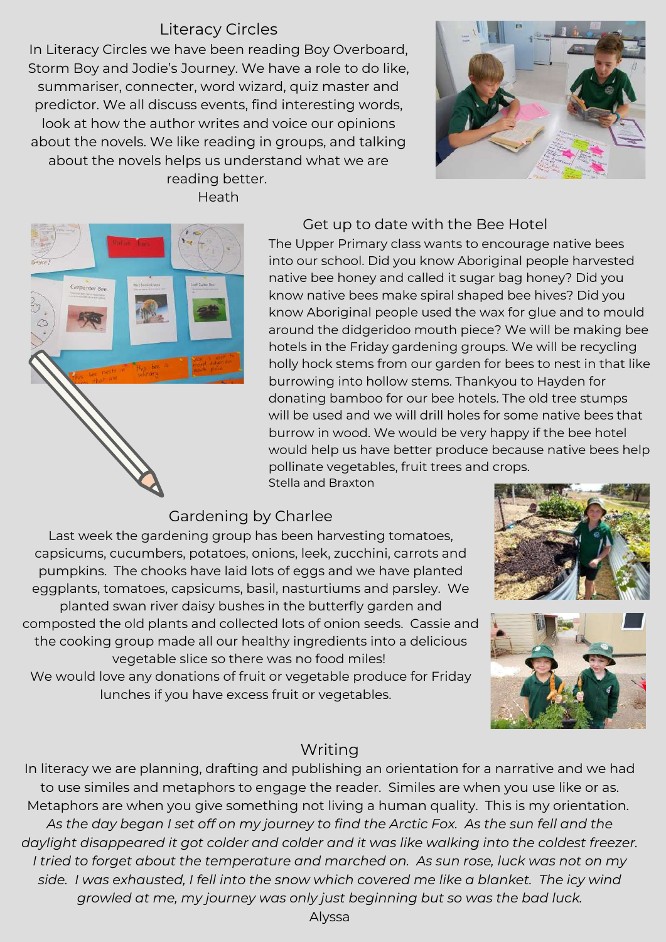#### Literacy Circles

In Literacy Circles we have been reading Boy Overboard, Storm Boy and Jodie's Journey. We have a role to do like, summariser, connecter, word wizard, quiz master and predictor. We all discuss events, find interesting words, look at how the author writes and voice our opinions about the novels. We like reading in groups, and talking about the novels helps us understand what we are reading better.

Heath





#### Get up to date with the Bee Hotel

The Upper Primary class wants to encourage native bees into our school. Did you know Aboriginal people harvested native bee honey and called it sugar bag honey? Did you know native bees make spiral shaped bee hives? Did you know Aboriginal people used the wax for glue and to mould around the didgeridoo mouth piece? We will be making bee hotels in the Friday gardening groups. We will be recycling holly hock stems from our garden for bees to nest in that like burrowing into hollow stems. Thankyou to Hayden for donating bamboo for our bee hotels. The old tree stumps will be used and we will drill holes for some native bees that burrow in wood. We would be very happy if the bee hotel would help us have better produce because native bees help pollinate vegetables, fruit trees and crops. Stella and Braxton

#### Gardening by Charlee

Last week the gardening group has been harvesting tomatoes, capsicums, cucumbers, potatoes, onions, leek, zucchini, carrots and pumpkins. The chooks have laid lots of eggs and we have planted eggplants, tomatoes, capsicums, basil, nasturtiums and parsley. We planted swan river daisy bushes in the butterfly garden and composted the old plants and collected lots of onion seeds. Cassie and the cooking group made all our healthy ingredients into a delicious vegetable slice so there was no food miles! We would love any donations of fruit or vegetable produce for Friday lunches if you have excess fruit or vegetables.





#### Writing

In literacy we are planning, drafting and publishing an orientation for a narrative and we had to use similes and metaphors to engage the reader. Similes are when you use like or as. Metaphors are when you give something not living a human quality. This is my orientation. As the day began I set off on my journey to find the Arctic Fox. As the sun fell and the *daylight disappeared it got colder and colder and it was like walking into the coldest freezer. I tried to forget about the temperature and marched on. As sun rose, luck was not on my side. I was exhausted, I fell into the snow which covered me like a blanket. The icy wind growled at me, my journey was only just beginning but so was the bad luck.*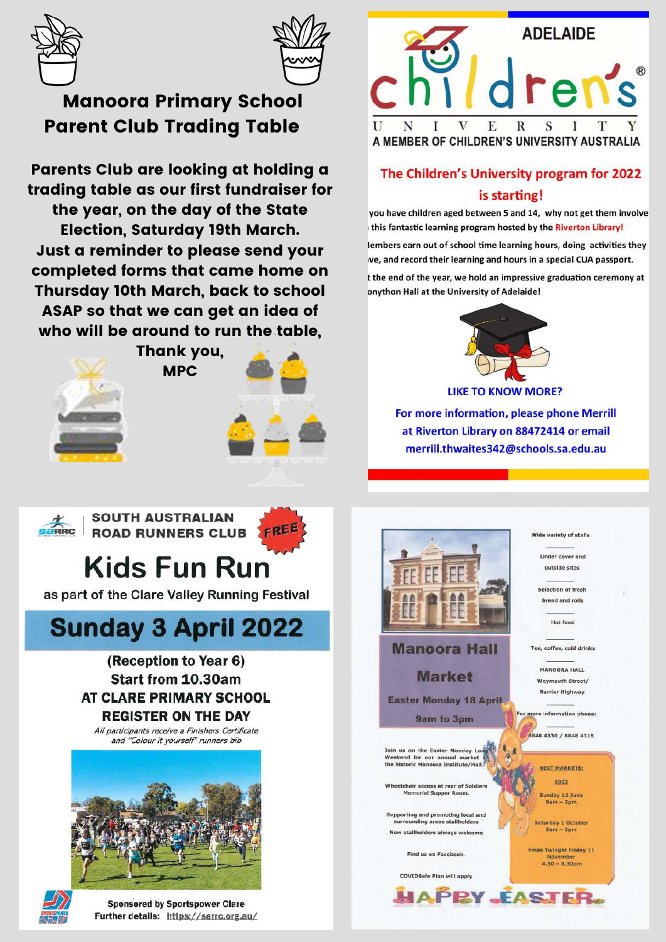



#### **Manoora Primary School Parent Club Trading Table**

Parents Club are looking at holding a trading table as our first fundraiser for the year, on the day of the State **Election, Saturday 19th March.** Just a reminder to please send your completed forms that came home on Thursday 10th March, back to school ASAP so that we can get an idea of who will be around to run the table.

**MPC** 



Thank you,



**SOUTH AUSTRALIAN ROAD RUNNERS CLUB** 

## **Kids Fun Run**

as part of the Clare Valley Running Festival

## **Sunday 3 April 2022**

#### (Reception to Year 6) **Start from 10.30am AT CLARE PRIMARY SCHOOL REGISTER ON THE DAY**

All participants receive a Finishers Certificate and "Colour it yourself" runners bib





**Sponsored by Sportspower Clare** Further details: https://sarrc.org.au/



#### The Children's University program for 2022 is starting!

you have children aged between 5 and 14, why not get them involve this fantastic learning program hosted by the Riverton Library!

lembers earn out of school time learning hours, doing activities they ve, and record their learning and hours in a special CUA passport.

t the end of the year, we hold an impressive graduation ceremony at onython Hall at the University of Adelaide!



For more information, please phone Merrill at Riverton Library on 88472414 or email merrill.thwaites342@schools.sa.edu.au



**Manoora Hall** 

**Market** 

**Easter Monday 18 April** 

9am to 3pm

Join us on the Easter Monday Lon<br>Weekend for our annual market<br>the historic Manoora Institute/Hall.

Ichair access at rear of Soldier: **Memorial Supper Room.** 

Supporting and promoting local and<br>surrounding areas stallholders New stallholders always welcome

Find us on Facebook.

**COVIDSafe Plan will apply** 

Wide variety of stalls

Under cover and outside sites

Selection of fresh bread and rolls

Hot food

Tea, coffee, cold drinks

**MANOORA HALL Waymouth Street / Barrier Highway** 

For more information phone

8848 4330 / 8848 4315

**NEXT MARKETS:** 2022 Sunday 12 June

 $9am - 3pm$ 

Saturday 1 October  $9am - 3pm$ 

**Xmas Twilight Friday 11**  $4.30 - 8.30<sub>pm</sub>$ 

**HAPEY FASTER.**